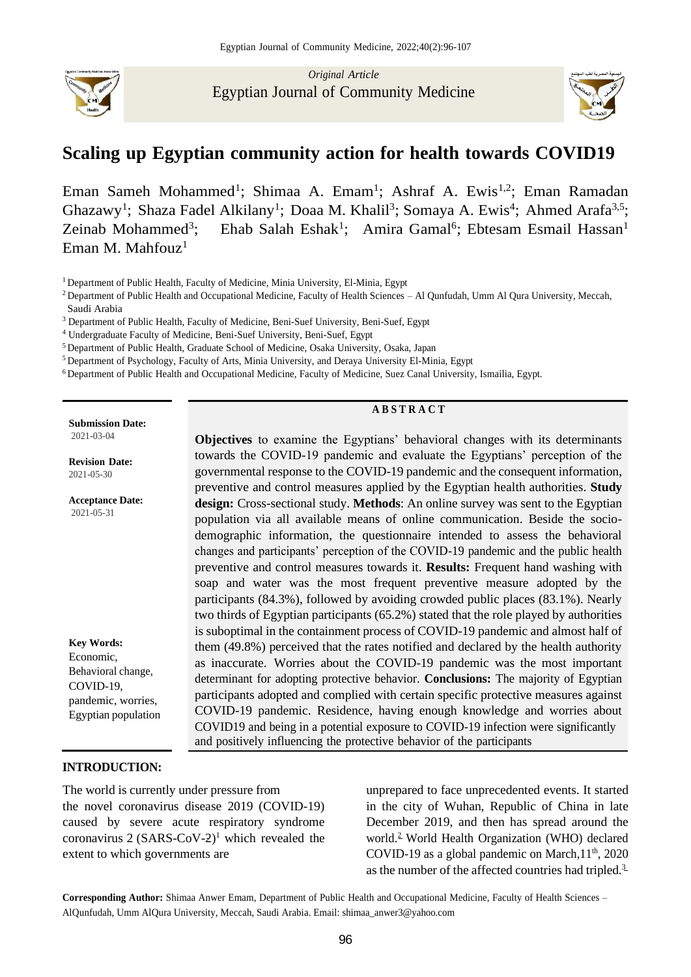*Original Article* Egyptian Journal of Community Medicine



# **Scaling up Egyptian community action for health towards COVID19**

Eman Sameh Mohammed<sup>1</sup>; Shimaa A. Emam<sup>1</sup>; Ashraf A. Ewis<sup>1,2</sup>; Eman Ramadan Ghazawy<sup>1</sup>; Shaza Fadel Alkilany<sup>1</sup>; Doaa M. Khalil<sup>3</sup>; Somaya A. Ewis<sup>4</sup>; Ahmed Arafa<sup>3,5</sup>; Zeinab Mohammed<sup>3</sup>; ; Ehab Salah Eshak<sup>1</sup>; Amira Gamal<sup>6</sup>; Ebtesam Esmail Hassan<sup>1</sup> Eman M. Mahfouz<sup>1</sup>

<sup>1</sup> Department of Public Health, Faculty of Medicine, Minia University, El-Minia, Egypt

<sup>2</sup> Department of Public Health and Occupational Medicine, Faculty of Health Sciences – Al Qunfudah, Umm Al Qura University, Meccah, Saudi Arabia

<sup>3</sup> Department of Public Health, Faculty of Medicine, Beni-Suef University, Beni-Suef, Egypt

<sup>4</sup> Undergraduate Faculty of Medicine, Beni-Suef University, Beni-Suef, Egypt

<sup>5</sup> Department of Public Health, Graduate School of Medicine, Osaka University, Osaka, Japan

<sup>5</sup> Department of Psychology, Faculty of Arts, Minia University, and Deraya University El-Minia, Egypt

<sup>6</sup> Department of Public Health and Occupational Medicine, Faculty of Medicine, Suez Canal University, Ismailia, Egypt.

**Submission Date:** 2021-03-04

**Revision Date:** 2021-05-30

**Acceptance Date:** 2021-05-31

**Key Words:**  Economic, Behavioral change, COVID-19, pandemic, worries, Egyptian population

# **A B S T R A C T**

**Objectives** to examine the Egyptians' behavioral changes with its determinants towards the COVID-19 pandemic and evaluate the Egyptians' perception of the governmental response to the COVID-19 pandemic and the consequent information, preventive and control measures applied by the Egyptian health authorities. **Study design:** Cross-sectional study. **Methods**: An online survey was sent to the Egyptian population via all available means of online communication. Beside the sociodemographic information, the questionnaire intended to assess the behavioral changes and participants' perception of the COVID-19 pandemic and the public health preventive and control measures towards it. **Results:** Frequent hand washing with soap and water was the most frequent preventive measure adopted by the participants (84.3%), followed by avoiding crowded public places (83.1%). Nearly two thirds of Egyptian participants (65.2%) stated that the role played by authorities is suboptimal in the containment process of COVID-19 pandemic and almost half of them (49.8%) perceived that the rates notified and declared by the health authority as inaccurate. Worries about the COVID-19 pandemic was the most important determinant for adopting protective behavior. **Conclusions:** The majority of Egyptian participants adopted and complied with certain specific protective measures against COVID-19 pandemic. Residence, having enough knowledge and worries about COVID19 and being in a potential exposure to COVID-19 infection were significantly and positively influencing the protective behavior of the participants

### **INTRODUCTION:**

The world is currently under pressure from the novel [coronavirus disease 2019](https://en.wikipedia.org/wiki/Coronavirus_disease_2019) (COVID-19) caused by [severe acute respiratory syndrome](https://en.wikipedia.org/wiki/Severe_acute_respiratory_syndrome_coronavirus_2) [coronavirus](https://en.wikipedia.org/wiki/Severe_acute_respiratory_syndrome_coronavirus_2) 2 (SARS-CoV-2)<sup>1</sup> which revealed the extent to which governments are

unprepared to face unprecedented events. It started in the city of Wuhan, Republic of China in late December 2019, and then has spread around the world. <sup>2</sup> World Health Organization (WHO) declared COVID-19 as a global pandemic on March, $11<sup>th</sup>$ , 2020 as the number of the affected countries had tripled.<sup>3</sup>

**Corresponding Author:** Shimaa Anwer Emam, Department of Public Health and Occupational Medicine, Faculty of Health Sciences – AlQunfudah, Umm AlQura University, Meccah, Saudi Arabia. Email: [shimaa\\_anwer3@yahoo.com](mailto:shimaa_anwer3@yahoo.com)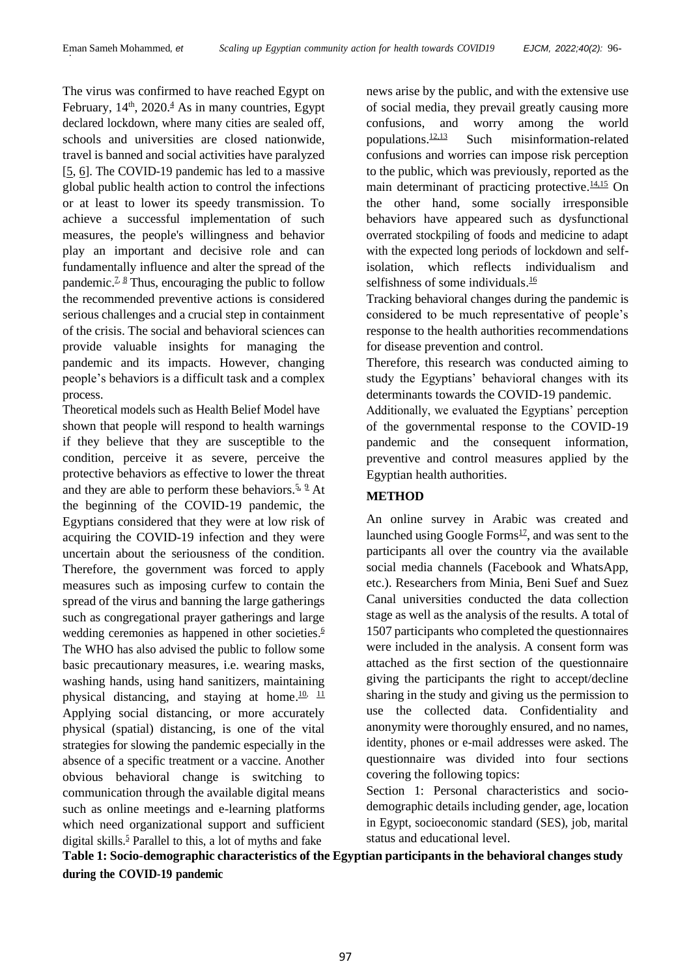The virus was confirmed to have reached Egypt on February,  $14<sup>th</sup>$ ,  $2020<sup>4</sup>$  As in many countries, Egypt declared lockdown, where many cities are sealed off, schools and universities are closed nationwide, travel is banned and social activities have paralyzed [5, 6]. The COVID-19 pandemic has led to a massive global public health action to control the infections or at least to lower its speedy transmission. To achieve a successful implementation of such measures, the people's willingness and behavior play an important and decisive role and can fundamentally influence and alter the spread of the pandemic.<sup> $7.8$ </sup> Thus, encouraging the public to follow the recommended preventive actions is considered serious challenges and a crucial step in containment of the crisis. The social and behavioral sciences can provide valuable insights for managing the pandemic and its impacts. However, changing people's behaviors is a difficult task and a complex process.

Theoretical models such as Health Belief Model have shown that people will respond to health warnings if they believe that they are susceptible to the condition, perceive it as severe, perceive the protective behaviors as effective to lower the threat and they are able to perform these behaviors.<sup>5, 9</sup> At the beginning of the COVID-19 pandemic, the Egyptians considered that they were at low risk of acquiring the COVID-19 infection and they were uncertain about the seriousness of the condition. Therefore, the government was forced to apply measures such as imposing curfew to contain the spread of the virus and banning the large gatherings such as congregational prayer gatherings and large wedding ceremonies as happened in other societies.<sup>6</sup> The WHO has also advised the public to follow some basic precautionary measures, i.e. wearing masks, washing hands, using hand sanitizers, maintaining physical distancing, and staying at home.<sup>10, 11</sup> Applying social distancing, or more accurately physical (spatial) distancing, is one of the vital strategies for slowing the pandemic especially in the absence of a specific treatment or a vaccine. Another obvious behavioral change is switching to communication through the available digital means such as online meetings and e-learning platforms which need organizational support and sufficient digital skills. <sup>5</sup> Parallel to this, a lot of myths and fake

news arise by the public, and with the extensive use of social media, they prevail greatly causing more confusions, and worry among the world populations. Such misinformation-related confusions and worries can impose risk perception to the public, which was previously, reported as the main determinant of practicing protective.<sup>14,15</sup> On the other hand, some socially irresponsible behaviors have appeared such as dysfunctional overrated stockpiling of foods and medicine to adapt with the expected long periods of lockdown and selfisolation, which reflects individualism and selfishness of some individuals.<sup>16</sup>

Tracking behavioral changes during the pandemic is considered to be much representative of people's response to the health authorities recommendations for disease prevention and control.

Therefore, this research was conducted aiming to study the Egyptians' behavioral changes with its determinants towards the COVID-19 pandemic.

Additionally, we evaluated the Egyptians' perception of the governmental response to the COVID-19 pandemic and the consequent information, preventive and control measures applied by the Egyptian health authorities.

# **METHOD**

An online survey in Arabic was created and launched using Google Forms<sup>17</sup>, and was sent to the participants all over the country via the available social media channels (Facebook and WhatsApp, etc.). Researchers from Minia, Beni Suef and Suez Canal universities conducted the data collection stage as well as the analysis of the results. A total of 1507 participants who completed the questionnaires were included in the analysis. A consent form was attached as the first section of the questionnaire giving the participants the right to accept/decline sharing in the study and giving us the permission to use the collected data. Confidentiality and anonymity were thoroughly ensured, and no names, identity, phones or e-mail addresses were asked. The questionnaire was divided into four sections covering the following topics:

Section 1: Personal characteristics and sociodemographic details including gender, age, location in Egypt, socioeconomic standard (SES), job, marital status and educational level.

**Table 1: Socio-demographic characteristics of the Egyptian participants in the behavioral changes study during the COVID-19 pandemic**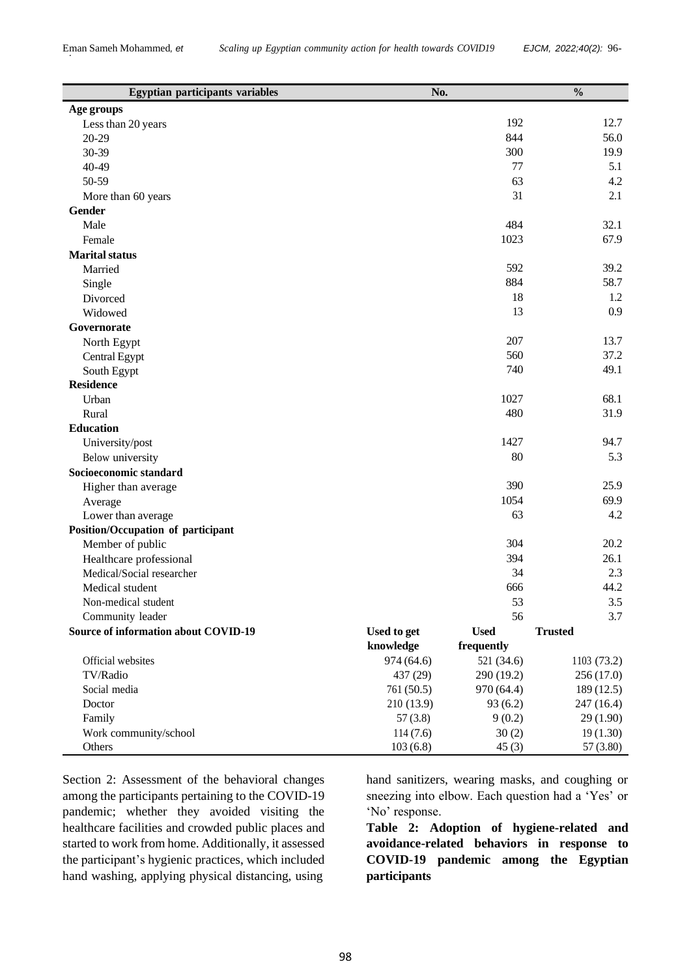| <b>Egyptian participants variables</b>      | No.                |             | $\frac{0}{0}$  |
|---------------------------------------------|--------------------|-------------|----------------|
| Age groups                                  |                    |             |                |
| Less than 20 years                          |                    | 192         | 12.7           |
| 20-29                                       |                    | 844         | 56.0           |
| 30-39                                       |                    | 300         | 19.9           |
| 40-49                                       |                    | 77          | 5.1            |
| 50-59                                       |                    | 63          | 4.2            |
| More than 60 years                          |                    | 31          | 2.1            |
| Gender                                      |                    |             |                |
| Male                                        |                    | 484         | 32.1           |
| Female                                      |                    | 1023        | 67.9           |
| <b>Marital</b> status                       |                    |             |                |
| Married                                     |                    | 592         | 39.2           |
| Single                                      |                    | 884         | 58.7           |
| Divorced                                    |                    | 18          | 1.2            |
| Widowed                                     |                    | 13          | 0.9            |
| Governorate                                 |                    |             |                |
| North Egypt                                 |                    | 207         | 13.7           |
| Central Egypt                               |                    | 560         | 37.2           |
| South Egypt                                 |                    | 740         | 49.1           |
| <b>Residence</b>                            |                    |             |                |
| Urban                                       |                    | 1027        | 68.1           |
| Rural                                       |                    | 480         | 31.9           |
| <b>Education</b>                            |                    |             |                |
| University/post                             |                    | 1427        | 94.7           |
| Below university                            |                    | 80          | 5.3            |
| Socioeconomic standard                      |                    |             |                |
| Higher than average                         |                    | 390         | 25.9           |
| Average                                     |                    | 1054        | 69.9           |
| Lower than average                          |                    | 63          | 4.2            |
| Position/Occupation of participant          |                    |             |                |
| Member of public                            |                    | 304         | 20.2           |
| Healthcare professional                     |                    | 394         | 26.1           |
| Medical/Social researcher                   |                    | 34          | 2.3            |
| Medical student                             |                    | 666         | 44.2           |
| Non-medical student                         |                    | 53          | 3.5            |
| Community leader                            |                    | 56          | 3.7            |
| <b>Source of information about COVID-19</b> | <b>Used to get</b> | <b>Used</b> | <b>Trusted</b> |
|                                             | knowledge          | frequently  |                |
| Official websites                           | 974 (64.6)         | 521 (34.6)  | 1103 (73.2)    |
| TV/Radio                                    | 437 (29)           | 290 (19.2)  | 256 (17.0)     |
| Social media                                | 761 (50.5)         | 970 (64.4)  | 189 (12.5)     |
| Doctor                                      | 210 (13.9)         | 93(6.2)     | 247 (16.4)     |
| Family                                      | 57(3.8)            | 9(0.2)      | 29 (1.90)      |
| Work community/school                       | 114(7.6)           | 30(2)       | 19(1.30)       |
| Others                                      | 103(6.8)           | 45(3)       | 57(3.80)       |

Section 2: Assessment of the behavioral changes among the participants pertaining to the COVID-19 pandemic; whether they avoided visiting the healthcare facilities and crowded public places and started to work from home. Additionally, it assessed the participant's hygienic practices, which included hand washing, applying physical distancing, using

hand sanitizers, wearing masks, and coughing or sneezing into elbow. Each question had a 'Yes' or 'No' response.

**Table 2: Adoption of hygiene-related and avoidance-related behaviors in response to COVID-19 pandemic among the Egyptian participants**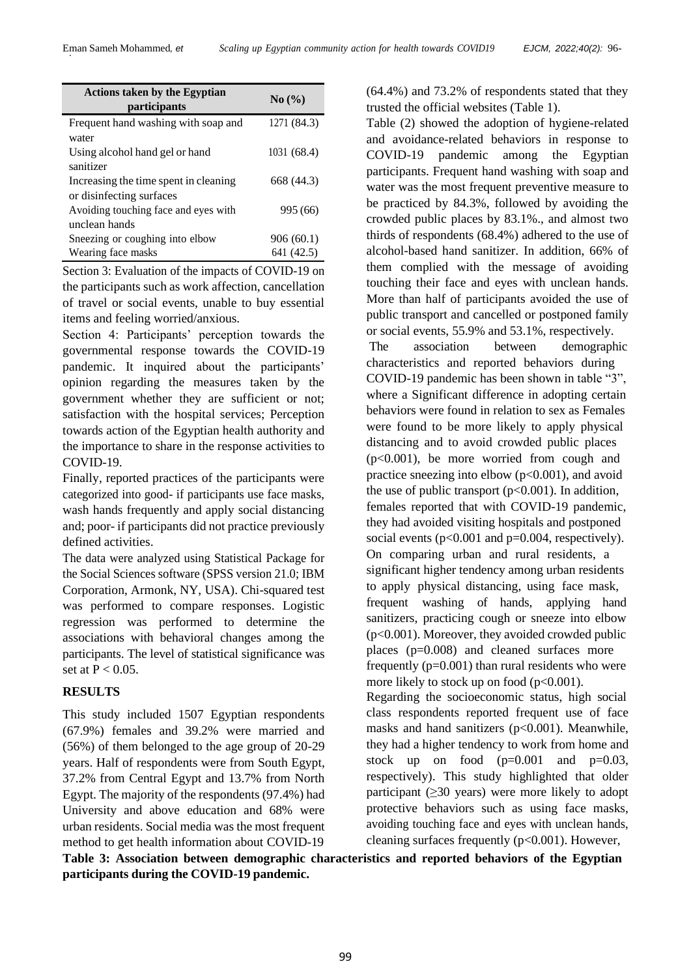| <b>Actions taken by the Egyptian</b><br><i>participants</i>       | No(%)       |
|-------------------------------------------------------------------|-------------|
| Frequent hand washing with soap and<br>water                      | 1271 (84.3) |
| Using alcohol hand gel or hand<br>sanitizer                       | 1031 (68.4) |
| Increasing the time spent in cleaning<br>or disinfecting surfaces | 668 (44.3)  |
| Avoiding touching face and eyes with<br>unclean hands             | 995 (66)    |
| Sneezing or coughing into elbow                                   | 906(60.1)   |
| Wearing face masks                                                | 641 (42.5)  |

Section 3: Evaluation of the impacts of COVID-19 on the participants such as work affection, cancellation of travel or social events, unable to buy essential items and feeling worried/anxious.

Section 4: Participants' perception towards the governmental response towards the COVID-19 pandemic. It inquired about the participants' opinion regarding the measures taken by the government whether they are sufficient or not; satisfaction with the hospital services; Perception towards action of the Egyptian health authority and the importance to share in the response activities to COVID-19.

Finally, reported practices of the participants were categorized into good- if participants use face masks, wash hands frequently and apply social distancing and; poor- if participants did not practice previously defined activities.

The data were analyzed using Statistical Package for the Social Sciences software (SPSS version 21.0; IBM Corporation, Armonk, NY, USA). Chi-squared test was performed to compare responses. Logistic regression was performed to determine the associations with behavioral changes among the participants. The level of statistical significance was set at  $P < 0.05$ .

# **RESULTS**

This study included 1507 Egyptian respondents (67.9%) females and 39.2% were married and (56%) of them belonged to the age group of 20-29 years. Half of respondents were from South Egypt, 37.2% from Central Egypt and 13.7% from North Egypt. The majority of the respondents (97.4%) had University and above education and 68% were urban residents. Social media was the most frequent method to get health information about COVID-19

(64.4%) and 73.2% of respondents stated that they trusted the official websites (Table 1).

Table (2) showed the adoption of hygiene-related and avoidance-related behaviors in response to COVID-19 pandemic among the Egyptian participants. Frequent hand washing with soap and water was the most frequent preventive measure to be practiced by 84.3%, followed by avoiding the crowded public places by 83.1%., and almost two thirds of respondents (68.4%) adhered to the use of alcohol-based hand sanitizer. In addition, 66% of them complied with the message of avoiding touching their face and eyes with unclean hands. More than half of participants avoided the use of public transport and cancelled or postponed family or social events, 55.9% and 53.1%, respectively.

The association between demographic characteristics and reported behaviors during COVID-19 pandemic has been shown in table "3", where a Significant difference in adopting certain behaviors were found in relation to sex as Females were found to be more likely to apply physical distancing and to avoid crowded public places  $(p<0.001)$ , be more worried from cough and practice sneezing into elbow  $(p<0.001)$ , and avoid the use of public transport  $(p<0.001)$ . In addition, females reported that with COVID-19 pandemic, they had avoided visiting hospitals and postponed social events ( $p<0.001$  and  $p=0.004$ , respectively). On comparing urban and rural residents, a significant higher tendency among urban residents to apply physical distancing, using face mask, frequent washing of hands, applying hand sanitizers, practicing cough or sneeze into elbow (p<0.001). Moreover, they avoided crowded public places (p=0.008) and cleaned surfaces more frequently  $(p=0.001)$  than rural residents who were more likely to stock up on food  $(p<0.001)$ .

Regarding the socioeconomic status, high social class respondents reported frequent use of face masks and hand sanitizers (p<0.001). Meanwhile, they had a higher tendency to work from home and stock up on food  $(p=0.001$  and  $p=0.03$ , respectively). This study highlighted that older participant (≥30 years) were more likely to adopt protective behaviors such as using face masks, avoiding touching face and eyes with unclean hands, cleaning surfaces frequently  $(p<0.001)$ . However,

**Table 3: Association between demographic characteristics and reported behaviors of the Egyptian participants during the COVID-19 pandemic.**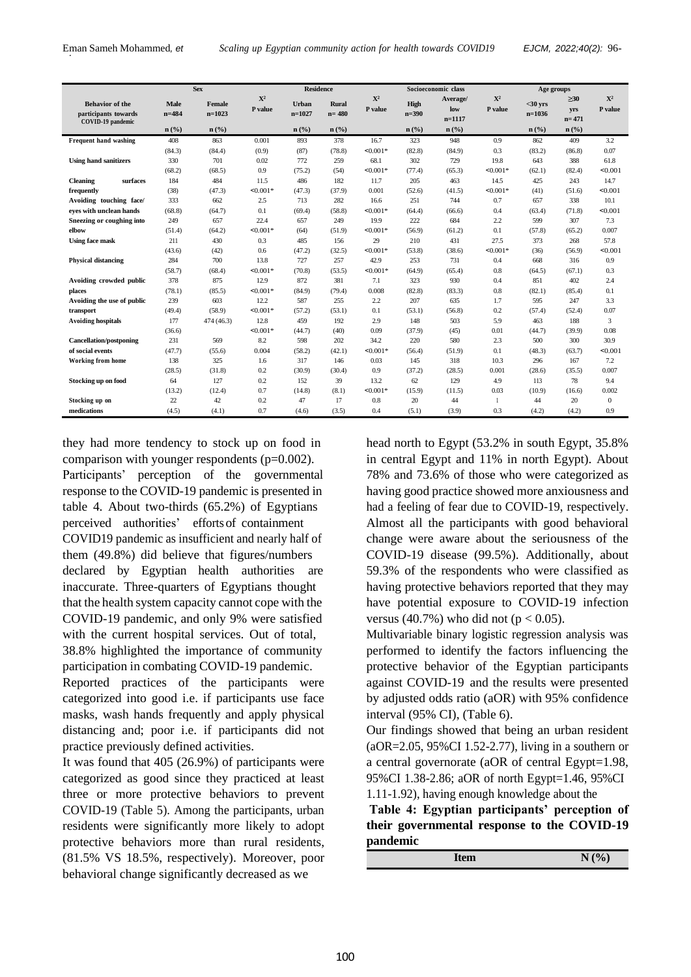|                                                |                             | <b>Sex</b>                  |                  | <b>Residence</b>            |                           |                        |                   | Socioeconomic class |                  | Age groups               |                  |                        |
|------------------------------------------------|-----------------------------|-----------------------------|------------------|-----------------------------|---------------------------|------------------------|-------------------|---------------------|------------------|--------------------------|------------------|------------------------|
| <b>Behavior of the</b><br>participants towards | Male<br>$n = 484$           | Female<br>$n=1023$          | $X^2$<br>P value | Urban<br>$n=1027$           | <b>Rural</b><br>$n = 480$ | ${\bf X}^2$<br>P value | High<br>$n = 390$ | Average/<br>low     | $X^2$<br>P value | $<$ 30 $vrs$<br>$n=1036$ | $\geq 30$<br>yrs | ${\bf X}^2$<br>P value |
| COVID-19 pandemic                              |                             |                             |                  |                             |                           |                        |                   | $n=1117$            |                  |                          | $n = 471$        |                        |
|                                                | $n\left(\frac{9}{6}\right)$ | $n\left(\frac{9}{6}\right)$ |                  | $n\left(\frac{9}{6}\right)$ | $n$ (%)                   |                        | n(%               | n(%                 |                  | n(%)                     | n(%              |                        |
| Frequent hand washing                          | 408                         | 863                         | 0.001            | 893                         | 378                       | 16.7                   | 323               | 948                 | 0.9              | 862                      | 409              | 3.2                    |
|                                                | (84.3)                      | (84.4)                      | (0.9)            | (87)                        | (78.8)                    | $< 0.001*$             | (82.8)            | (84.9)              | 0.3              | (83.2)                   | (86.8)           | 0.07                   |
| <b>Using hand sanitizers</b>                   | 330                         | 701                         | 0.02             | 772                         | 259                       | 68.1                   | 302               | 729                 | 19.8             | 643                      | 388              | 61.8                   |
|                                                | (68.2)                      | (68.5)                      | 0.9              | (75.2)                      | (54)                      | $< 0.001*$             | (77.4)            | (65.3)              | $< 0.001*$       | (62.1)                   | (82.4)           | < 0.001                |
| surfaces<br><b>Cleaning</b>                    | 184                         | 484                         | 11.5             | 486                         | 182                       | 11.7                   | 205               | 463                 | 14.5             | 425                      | 243              | 14.7                   |
| frequently                                     | (38)                        | (47.3)                      | $< 0.001*$       | (47.3)                      | (37.9)                    | 0.001                  | (52.6)            | (41.5)              | $< 0.001*$       | (41)                     | (51.6)           | < 0.001                |
| Avoiding touching face/                        | 333                         | 662                         | 2.5              | 713                         | 282                       | 16.6                   | 251               | 744                 | 0.7              | 657                      | 338              | 10.1                   |
| eyes with unclean hands                        | (68.8)                      | (64.7)                      | 0.1              | (69.4)                      | (58.8)                    | $< 0.001*$             | (64.4)            | (66.6)              | 0.4              | (63.4)                   | (71.8)           | < 0.001                |
| Sneezing or coughing into                      | 249                         | 657                         | 22.4             | 657                         | 249                       | 19.9                   | 222               | 684                 | 2.2              | 599                      | 307              | 7.3                    |
| elbow                                          | (51.4)                      | (64.2)                      | $< 0.001*$       | (64)                        | (51.9)                    | $< 0.001*$             | (56.9)            | (61.2)              | 0.1              | (57.8)                   | (65.2)           | 0.007                  |
| <b>Using face mask</b>                         | 211                         | 430                         | 0.3              | 485                         | 156                       | 29                     | 210               | 431                 | 27.5             | 373                      | 268              | 57.8                   |
|                                                | (43.6)                      | (42)                        | 0.6              | (47.2)                      | (32.5)                    | $< 0.001*$             | (53.8)            | (38.6)              | $< 0.001*$       | (36)                     | (56.9)           | < 0.001                |
| <b>Physical distancing</b>                     | 284                         | 700                         | 13.8             | 727                         | 257                       | 42.9                   | 253               | 731                 | 0.4              | 668                      | 316              | 0.9                    |
|                                                | (58.7)                      | (68.4)                      | $< 0.001*$       | (70.8)                      | (53.5)                    | $< 0.001*$             | (64.9)            | (65.4)              | 0.8              | (64.5)                   | (67.1)           | 0.3                    |
| Avoiding crowded public                        | 378                         | 875                         | 12.9             | 872                         | 381                       | 7.1                    | 323               | 930                 | 0.4              | 851                      | 402              | 2.4                    |
| places                                         | (78.1)                      | (85.5)                      | $< 0.001*$       | (84.9)                      | (79.4)                    | 0.008                  | (82.8)            | (83.3)              | 0.8              | (82.1)                   | (85.4)           | 0.1                    |
| Avoiding the use of public                     | 239                         | 603                         | 12.2             | 587                         | 255                       | 2.2                    | 207               | 635                 | 1.7              | 595                      | 247              | 3.3                    |
| transport                                      | (49.4)                      | (58.9)                      | $< 0.001*$       | (57.2)                      | (53.1)                    | 0.1                    | (53.1)            | (56.8)              | 0.2              | (57.4)                   | (52.4)           | 0.07                   |
| <b>Avoiding hospitals</b>                      | 177                         | 474 (46.3)                  | 12.8             | 459                         | 192                       | 2.9                    | 148               | 503                 | 5.9              | 463                      | 188              | 3                      |
|                                                | (36.6)                      |                             | $< 0.001*$       | (44.7)                      | (40)                      | 0.09                   | (37.9)            | (45)                | 0.01             | (44.7)                   | (39.9)           | 0.08                   |
| <b>Cancellation/postponing</b>                 | 231                         | 569                         | 8.2              | 598                         | 202                       | 34.2                   | 220               | 580                 | 2.3              | 500                      | 300              | 30.9                   |
| of social events                               | (47.7)                      | (55.6)                      | 0.004            | (58.2)                      | (42.1)                    | $< 0.001*$             | (56.4)            | (51.9)              | 0.1              | (48.3)                   | (63.7)           | < 0.001                |
| Working from home                              | 138                         | 325                         | 1.6              | 317                         | 146                       | 0.03                   | 145               | 318                 | 10.3             | 296                      | 167              | 7.2                    |
|                                                | (28.5)                      | (31.8)                      | 0.2              | (30.9)                      | (30.4)                    | 0.9                    | (37.2)            | (28.5)              | 0.001            | (28.6)                   | (35.5)           | 0.007                  |
| Stocking up on food                            | 64                          | 127                         | 0.2              | 152                         | 39                        | 13.2                   | 62                | 129                 | 4.9              | 113                      | 78               | 9.4                    |
|                                                | (13.2)                      | (12.4)                      | 0.7              | (14.8)                      | (8.1)                     | $< 0.001*$             | (15.9)            | (11.5)              | 0.03             | (10.9)                   | (16.6)           | 0.002                  |
| Stocking up on                                 | 22                          | 42                          | 0.2              | 47                          | 17                        | 0.8                    | 20                | 44                  | -1               | 44                       | 20               | $\mathbf{0}$           |
| medications                                    | (4.5)                       | (4.1)                       | 0.7              | (4.6)                       | (3.5)                     | 0.4                    | (5.1)             | (3.9)               | 0.3              | (4.2)                    | (4.2)            | 0.9                    |

they had more tendency to stock up on food in comparison with younger respondents (p=0.002).

Participants' perception of the governmental response to the COVID-19 pandemic is presented in table 4. About two-thirds (65.2%) of Egyptians perceived authorities' efforts of containment COVID19 pandemic as insufficient and nearly half of them (49.8%) did believe that figures/numbers declared by Egyptian health authorities are inaccurate. Three-quarters of Egyptians thought that the health system capacity cannot cope with the COVID-19 pandemic, and only 9% were satisfied with the current hospital services. Out of total, 38.8% highlighted the importance of community participation in combating COVID-19 pandemic.

Reported practices of the participants were categorized into good i.e. if participants use face masks, wash hands frequently and apply physical distancing and; poor i.e. if participants did not practice previously defined activities.

It was found that 405 (26.9%) of participants were categorized as good since they practiced at least three or more protective behaviors to prevent COVID-19 (Table 5). Among the participants, urban residents were significantly more likely to adopt protective behaviors more than rural residents, (81.5% VS 18.5%, respectively). Moreover, poor behavioral change significantly decreased as we

head north to Egypt (53.2% in south Egypt, 35.8% in central Egypt and 11% in north Egypt). About 78% and 73.6% of those who were categorized as having good practice showed more anxiousness and had a feeling of fear due to COVID-19, respectively. Almost all the participants with good behavioral change were aware about the seriousness of the COVID-19 disease (99.5%). Additionally, about 59.3% of the respondents who were classified as having protective behaviors reported that they may have potential exposure to COVID-19 infection versus (40.7%) who did not ( $p < 0.05$ ).

Multivariable binary logistic regression analysis was performed to identify the factors influencing the protective behavior of the Egyptian participants against COVID-19 and the results were presented by adjusted odds ratio (aOR) with 95% confidence interval (95% CI), (Table 6).

Our findings showed that being an urban resident (aOR=2.05, 95%CI 1.52-2.77), living in a southern or a central governorate (aOR of central Egypt=1.98, 95%CI 1.38-2.86; aOR of north Egypt=1.46, 95%CI 1.11-1.92), having enough knowledge about the

**Table 4: Egyptian participants' perception of their governmental response to the COVID-19 pandemic**

| $N(\%)$ |
|---------|
|         |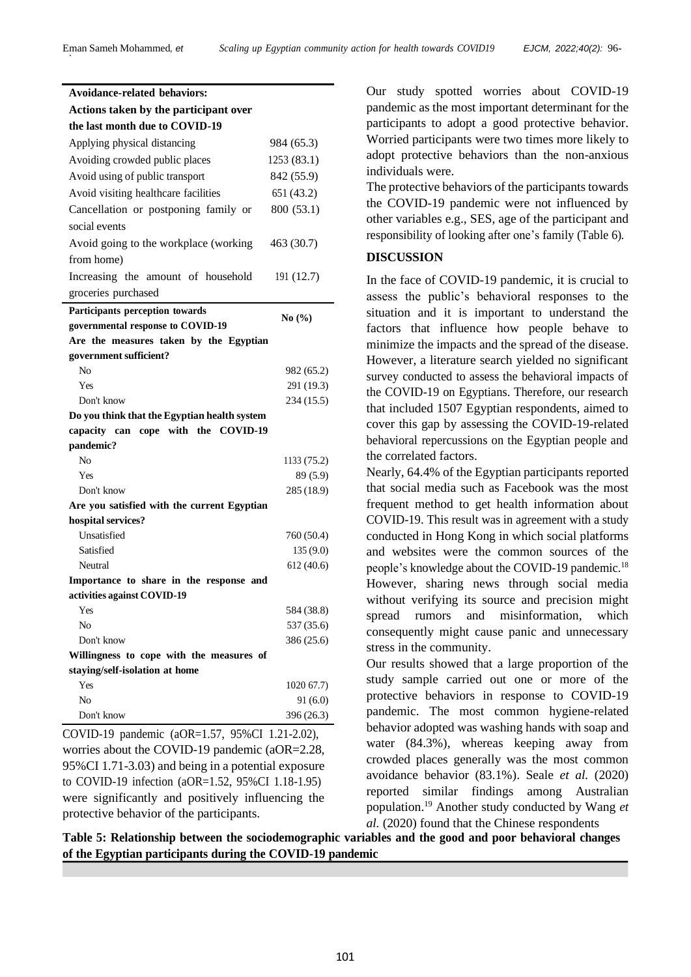| <b>Avoidance-related behaviors:</b>          |             |
|----------------------------------------------|-------------|
| Actions taken by the participant over        |             |
| the last month due to COVID-19               |             |
| Applying physical distancing                 | 984 (65.3)  |
| Avoiding crowded public places               | 1253 (83.1) |
| Avoid using of public transport              | 842 (55.9)  |
| Avoid visiting healthcare facilities         | 651 (43.2)  |
| Cancellation or postponing family or         | 800 (53.1)  |
| social events                                |             |
| Avoid going to the workplace (working        | 463 (30.7)  |
|                                              |             |
| from home)                                   |             |
| Increasing the amount of household           | 191(12.7)   |
| groceries purchased                          |             |
| Participants perception towards              | No $(\% )$  |
| governmental response to COVID-19            |             |
| Are the measures taken by the Egyptian       |             |
| government sufficient?                       |             |
| N <sub>0</sub>                               | 982 (65.2)  |
| Yes<br>Don't know                            | 291 (19.3)  |
| Do you think that the Egyptian health system | 234 (15.5)  |
| capacity can cope with the COVID-19          |             |
| pandemic?                                    |             |
| N <sub>0</sub>                               | 1133 (75.2) |
| Yes                                          | 89 (5.9)    |
| Don't know                                   | 285 (18.9)  |
| Are you satisfied with the current Egyptian  |             |
| hospital services?                           |             |
| Unsatisfied                                  | 760 (50.4)  |
| Satisfied                                    | 135(9.0)    |
| Neutral                                      | 612 (40.6)  |
| Importance to share in the response and      |             |
| activities against COVID-19                  |             |
| Yes                                          | 584 (38.8)  |
| No                                           | 537 (35.6)  |
| Don't know                                   | 386 (25.6)  |
| Willingness to cope with the measures of     |             |
| staying/self-isolation at home               |             |
| Yes                                          | 102067.7    |
| No                                           | 91(6.0)     |
| Don't know                                   | 396 (26.3)  |

COVID-19 pandemic (aOR=1.57, 95%CI 1.21-2.02), worries about the COVID-19 pandemic (aOR=2.28, 95%CI 1.71-3.03) and being in a potential exposure to COVID-19 infection (aOR=1.52, 95%CI 1.18-1.95) were significantly and positively influencing the protective behavior of the participants.

Our study spotted worries about COVID-19 pandemic as the most important determinant for the participants to adopt a good protective behavior. Worried participants were two times more likely to adopt protective behaviors than the non-anxious individuals were.

The protective behaviors of the participants towards the COVID-19 pandemic were not influenced by other variables e.g., SES, age of the participant and responsibility of looking after one's family (Table 6).

## **DISCUSSION**

In the face of COVID-19 pandemic, it is crucial to assess the public's behavioral responses to the situation and it is important to understand the factors that influence how people behave to minimize the impacts and the spread of the disease. However, a literature search yielded no significant survey conducted to assess the behavioral impacts of the COVID-19 on Egyptians. Therefore, our research that included 1507 Egyptian respondents, aimed to cover this gap by assessing the COVID-19-related behavioral repercussions on the Egyptian people and the correlated factors.

Nearly, 64.4% of the Egyptian participants reported that social media such as Facebook was the most frequent method to get health information about COVID-19. This result was in agreement with a study conducted in Hong Kong in which social platforms and websites were the common sources of the people's knowledge about the COVID-19 pandemic. 18 However, sharing news through social media without verifying its source and precision might spread rumors and misinformation, which consequently might cause panic and unnecessary stress in the community.

Our results showed that a large proportion of the study sample carried out one or more of the protective behaviors in response to COVID-19 pandemic. The most common hygiene-related behavior adopted was washing hands with soap and water (84.3%), whereas keeping away from crowded places generally was the most common avoidance behavior (83.1%). Seale *et al.* (2020) reported similar findings among Australian population. <sup>19</sup> Another study conducted by Wang *et al.* (2020) found that the Chinese respondents

**Table 5: Relationship between the sociodemographic variables and the good and poor behavioral changes of the Egyptian participants during the COVID-19 pandemic**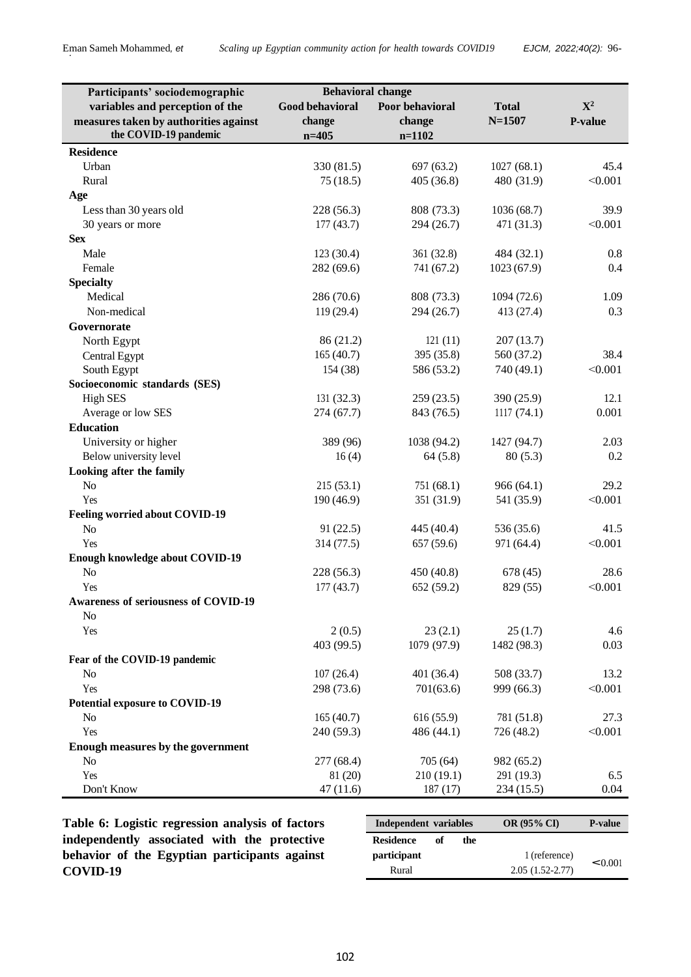| Participants' sociodemographic              | <b>Behavioral change</b> |                 |              |                |
|---------------------------------------------|--------------------------|-----------------|--------------|----------------|
| variables and perception of the             | <b>Good behavioral</b>   | Poor behavioral | <b>Total</b> | $\mathbf{X}^2$ |
| measures taken by authorities against       | change                   | change          | $N = 1507$   | P-value        |
| the COVID-19 pandemic                       | $n=405$                  | $n=1102$        |              |                |
| <b>Residence</b>                            |                          |                 |              |                |
| Urban                                       | 330 (81.5)               | 697 (63.2)      | 1027(68.1)   | 45.4           |
| Rural                                       | 75(18.5)                 | 405 (36.8)      | 480 (31.9)   | < 0.001        |
| Age                                         |                          |                 |              |                |
| Less than 30 years old                      | 228 (56.3)               | 808 (73.3)      | 1036(68.7)   | 39.9           |
| 30 years or more                            | 177(43.7)                | 294 (26.7)      | 471 (31.3)   | < 0.001        |
| <b>Sex</b>                                  |                          |                 |              |                |
| Male                                        | 123(30.4)                | 361 (32.8)      | 484 (32.1)   | 0.8            |
| Female                                      | 282 (69.6)               | 741 (67.2)      | 1023(67.9)   | 0.4            |
| <b>Specialty</b>                            |                          |                 |              |                |
| Medical                                     | 286 (70.6)               | 808 (73.3)      | 1094 (72.6)  | 1.09           |
| Non-medical                                 | 119 (29.4)               | 294 (26.7)      | 413 (27.4)   | 0.3            |
| Governorate                                 |                          |                 |              |                |
| North Egypt                                 | 86 (21.2)                | 121(11)         | 207(13.7)    |                |
| Central Egypt                               | 165(40.7)                | 395 (35.8)      | 560 (37.2)   | 38.4           |
| South Egypt                                 | 154 (38)                 | 586 (53.2)      | 740 (49.1)   | < 0.001        |
| Socioeconomic standards (SES)               |                          |                 |              |                |
| <b>High SES</b>                             | 131(32.3)                | 259(23.5)       | 390 (25.9)   | 12.1           |
| Average or low SES                          | 274(67.7)                | 843 (76.5)      | 1117(74.1)   | 0.001          |
| <b>Education</b>                            |                          |                 |              |                |
| University or higher                        | 389 (96)                 | 1038 (94.2)     | 1427 (94.7)  | 2.03           |
| Below university level                      | 16(4)                    | 64(5.8)         | 80(5.3)      | 0.2            |
| Looking after the family                    |                          |                 |              |                |
| No                                          | 215(53.1)                | 751 (68.1)      | 966 (64.1)   | 29.2           |
| Yes                                         | 190(46.9)                | 351 (31.9)      | 541 (35.9)   | < 0.001        |
| Feeling worried about COVID-19              |                          |                 |              |                |
| No                                          | 91(22.5)                 | 445 (40.4)      | 536 (35.6)   | 41.5           |
| Yes                                         | 314 (77.5)               | 657 (59.6)      | 971 (64.4)   | < 0.001        |
| Enough knowledge about COVID-19             |                          |                 |              |                |
| N <sub>o</sub>                              | 228 (56.3)               | 450 (40.8)      | 678(45)      | 28.6           |
| Yes                                         | 177(43.7)                | 652 (59.2)      | 829 (55)     | < 0.001        |
| <b>Awareness of seriousness of COVID-19</b> |                          |                 |              |                |
| N <sub>o</sub>                              |                          |                 |              |                |
| Yes                                         | 2(0.5)                   | 23(2.1)         | 25(1.7)      | 4.6            |
|                                             | 403 (99.5)               | 1079 (97.9)     | 1482 (98.3)  | 0.03           |
| Fear of the COVID-19 pandemic               |                          |                 |              |                |
| N <sub>o</sub>                              | 107(26.4)                | 401(36.4)       | 508 (33.7)   | 13.2           |
| Yes                                         | 298 (73.6)               | 701(63.6)       | 999 (66.3)   | < 0.001        |
| <b>Potential exposure to COVID-19</b>       |                          |                 |              |                |
| N <sub>o</sub>                              | 165(40.7)                | 616 (55.9)      | 781 (51.8)   | 27.3           |
| Yes                                         | 240 (59.3)               | 486 (44.1)      | 726 (48.2)   | < 0.001        |
| <b>Enough measures by the government</b>    |                          |                 |              |                |
| No                                          | 277 (68.4)               | 705 (64)        | 982 (65.2)   |                |
| Yes                                         | 81 (20)                  | 210 (19.1)      | 291 (19.3)   | 6.5            |
| Don't Know                                  | 47(11.6)                 | 187(17)         | 234(15.5)    | 0.04           |

**Table 6: Logistic regression analysis of factors independently associated with the protective behavior of the Egyptian participants against COVID-19**

| Independent variables |    | <b>OR (95% CI)</b> | P-value             |              |
|-----------------------|----|--------------------|---------------------|--------------|
| <b>Residence</b>      | оf | the.               |                     |              |
| <i>participant</i>    |    |                    | 1 (reference)       | $\leq 0.001$ |
| Rural                 |    |                    | $2.05(1.52 - 2.77)$ |              |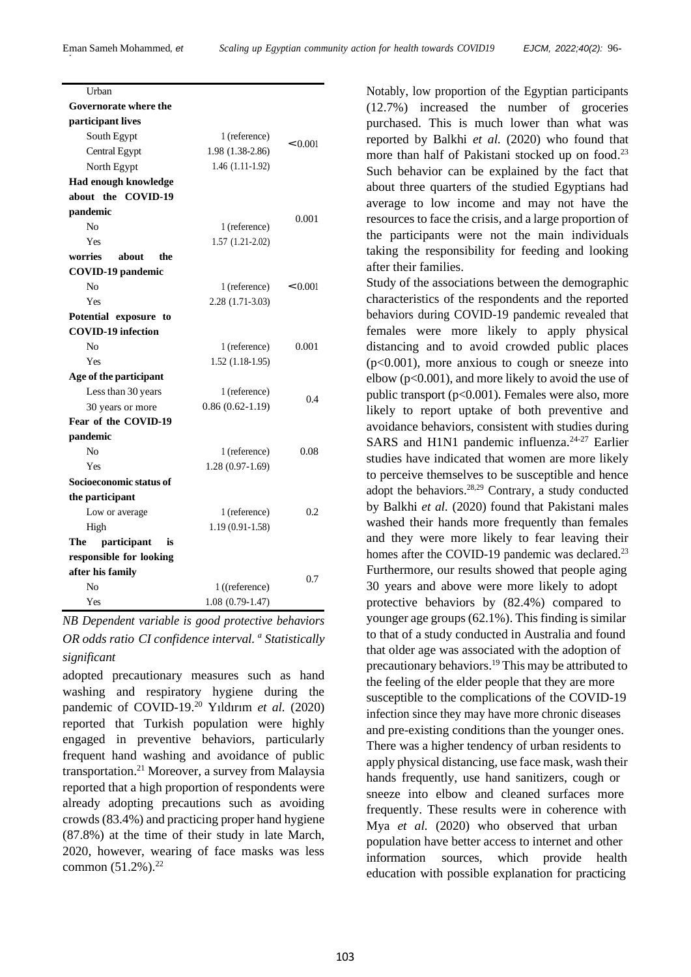| Urban                       |                     |              |
|-----------------------------|---------------------|--------------|
| Governorate where the       |                     |              |
| participant lives           |                     |              |
| South Egypt                 | 1 (reference)       | $\leq 0.001$ |
| Central Egypt               | 1.98 (1.38-2.86)    |              |
| North Egypt                 | 1.46 (1.11-1.92)    |              |
| <b>Had enough knowledge</b> |                     |              |
| about the COVID-19          |                     |              |
| pandemic                    |                     |              |
| N <sub>o</sub>              | 1 (reference)       | 0.001        |
| Yes                         | $1.57(1.21-2.02)$   |              |
| worries<br>about<br>the     |                     |              |
| <b>COVID-19 pandemic</b>    |                     |              |
| No                          | 1 (reference)       | $\leq 0.001$ |
| Yes                         | 2.28 (1.71-3.03)    |              |
| Potential exposure to       |                     |              |
| <b>COVID-19</b> infection   |                     |              |
| No                          | 1 (reference)       | 0.001        |
| Yes                         | $1.52(1.18-1.95)$   |              |
| Age of the participant      |                     |              |
| Less than 30 years          | 1 (reference)       |              |
| 30 years or more            | $0.86(0.62 - 1.19)$ | 0.4          |
| Fear of the COVID-19        |                     |              |
| pandemic                    |                     |              |
| N <sub>0</sub>              | 1 (reference)       | 0.08         |
| Yes                         | $1.28(0.97-1.69)$   |              |
| Socioeconomic status of     |                     |              |
| the participant             |                     |              |
| Low or average              | 1 (reference)       | 0.2          |
| High                        | $1.19(0.91-1.58)$   |              |
| The<br>participant<br>is    |                     |              |
| responsible for looking     |                     |              |
| after his family            |                     |              |
| No                          | 1 ((reference)      | 0.7          |
| Yes                         | $1.08(0.79-1.47)$   |              |

*NB Dependent variable is good protective behaviors OR odds ratio CI confidence interval. <sup>a</sup> Statistically significant*

adopted precautionary measures such as hand washing and respiratory hygiene during the pandemic of COVID-19. <sup>20</sup> Yıldırım *et al.* (2020) reported that Turkish population were highly engaged in preventive behaviors, particularly frequent hand washing and avoidance of public transportation. <sup>21</sup> Moreover, a survey from Malaysia reported that a high proportion of respondents were already adopting precautions such as avoiding crowds (83.4%) and practicing proper hand hygiene (87.8%) at the time of their study in late March, 2020, however, wearing of face masks was less common (51.2%). 22

Notably, low proportion of the Egyptian participants (12.7%) increased the number of groceries purchased. This is much lower than what was reported by Balkhi *et al.* (2020) who found that more than half of Pakistani stocked up on food.<sup>23</sup> Such behavior can be explained by the fact that about three quarters of the studied Egyptians had average to low income and may not have the resources to face the crisis, and a large proportion of the participants were not the main individuals taking the responsibility for feeding and looking after their families.

Study of the associations between the demographic characteristics of the respondents and the reported behaviors during COVID-19 pandemic revealed that females were more likely to apply physical distancing and to avoid crowded public places  $(p<0.001)$ , more anxious to cough or sneeze into elbow (p<0.001), and more likely to avoid the use of public transport (p<0.001). Females were also, more likely to report uptake of both preventive and avoidance behaviors, consistent with studies during SARS and H1N1 pandemic influenza.<sup>24-27</sup> Earlier studies have indicated that women are more likely to perceive themselves to be susceptible and hence adopt the behaviors. 28,29 Contrary, a study conducted by Balkhi *et al.* (2020) found that Pakistani males washed their hands more frequently than females and they were more likely to fear leaving their homes after the COVID-19 pandemic was declared.<sup>23</sup> Furthermore, our results showed that people aging 30 years and above were more likely to adopt protective behaviors by (82.4%) compared to younger age groups  $(62.1\%)$ . This finding is similar to that of a study conducted in Australia and found that older age was associated with the adoption of precautionary behaviors. <sup>19</sup> This may be attributed to the feeling of the elder people that they are more susceptible to the complications of the COVID-19 infection since they may have more chronic diseases and pre-existing conditions than the younger ones. There was a higher tendency of urban residents to apply physical distancing, use face mask, wash their hands frequently, use hand sanitizers, cough or sneeze into elbow and cleaned surfaces more frequently. These results were in coherence with Mya *et al.* (2020) who observed that urban population have better access to internet and other information sources, which provide health education with possible explanation for practicing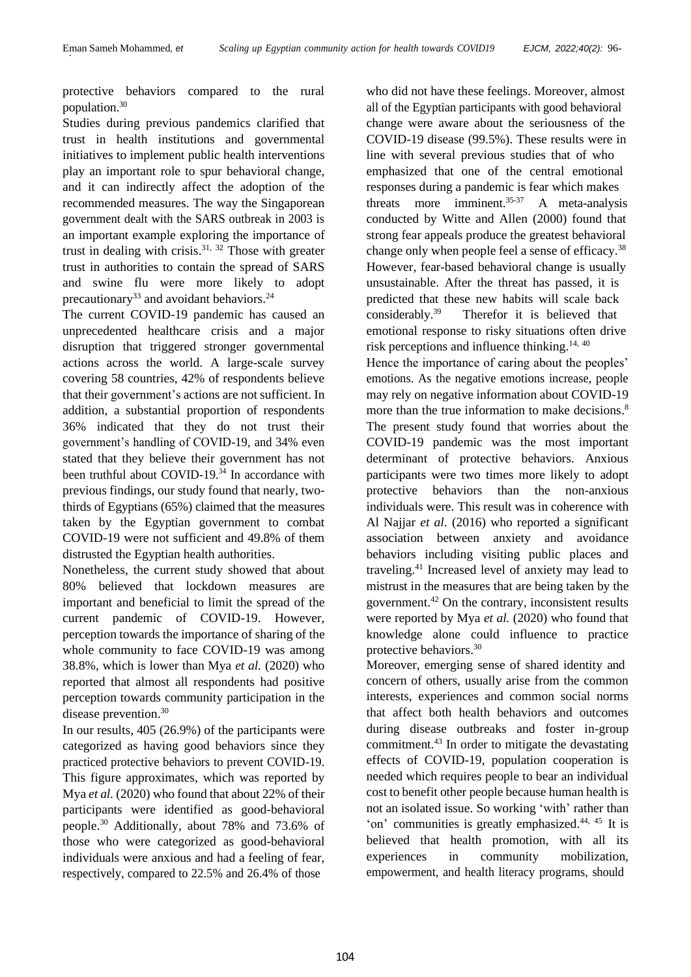protective behaviors compared to the rural population. 30

Studies during previous pandemics clarified that trust in health institutions and governmental initiatives to implement public health interventions play an important role to spur behavioral change, and it can indirectly affect the adoption of the recommended measures. The way the Singaporean government dealt with the SARS outbreak in 2003 is an important example exploring the importance of trust in dealing with crisis. 31, <sup>32</sup> Those with greater trust in authorities to contain the spread of SARS and swine flu were more likely to adopt precautionary<sup>33</sup> and avoidant behaviors.<sup>24</sup>

The current COVID-19 pandemic has caused an unprecedented healthcare crisis and a major disruption that triggered stronger governmental actions across the world. A large-scale survey covering 58 countries, 42% of respondents believe that their government's actions are not sufficient. In addition, a substantial proportion of respondents 36% indicated that they do not trust their government's handling of COVID-19, and 34% even stated that they believe their government has not been truthful about COVID-19. <sup>34</sup> In accordance with previous findings, our study found that nearly, twothirds of Egyptians (65%) claimed that the measures taken by the Egyptian government to combat COVID-19 were not sufficient and 49.8% of them distrusted the Egyptian health authorities.

Nonetheless, the current study showed that about 80% believed that lockdown measures are important and beneficial to limit the spread of the current pandemic of COVID-19. However, perception towards the importance of sharing of the whole community to face COVID-19 was among 38.8%, which is lower than Mya *et al.* (2020) who reported that almost all respondents had positive perception towards community participation in the disease prevention. 30

In our results, 405 (26.9%) of the participants were categorized as having good behaviors since they practiced protective behaviors to prevent COVID-19. This figure approximates, which was reported by Mya *et al.* (2020) who found that about 22% of their participants were identified as good-behavioral people. <sup>30</sup> Additionally, about 78% and 73.6% of those who were categorized as good-behavioral individuals were anxious and had a feeling of fear, respectively, compared to 22.5% and 26.4% of those

who did not have these feelings. Moreover, almost all of the Egyptian participants with good behavioral change were aware about the seriousness of the COVID-19 disease (99.5%). These results were in line with several previous studies that of who emphasized that one of the central emotional responses during a pandemic is fear which makes threats more imminent.<sup>35-37</sup> A meta-analysis conducted by Witte and Allen (2000) found that strong fear appeals produce the greatest behavioral change only when people feel a sense of efficacy.<sup>38</sup> However, fear-based behavioral change is usually unsustainable. After the threat has passed, it is predicted that these new habits will scale back considerably.<sup>39</sup> Therefor it is believed that emotional response to risky situations often drive risk perceptions and influence thinking.<sup>14, 40</sup>

Hence the importance of caring about the peoples' emotions. As the negative emotions increase, people may rely on negative information about COVID-19 more than the true information to make decisions.<sup>8</sup> The present study found that worries about the COVID-19 pandemic was the most important determinant of protective behaviors. Anxious participants were two times more likely to adopt protective behaviors than the non-anxious individuals were. This result was in coherence with Al Najjar *et al.* (2016) who reported a significant association between anxiety and avoidance behaviors including visiting public places and traveling. <sup>41</sup> Increased level of anxiety may lead to mistrust in the measures that are being taken by the government. <sup>42</sup> On the contrary, inconsistent results were reported by Mya *et al.* (2020) who found that knowledge alone could influence to practice protective behaviors. 30

Moreover, emerging sense of shared identity and concern of others, usually arise from the common interests, experiences and common social norms that affect both health behaviors and outcomes during disease outbreaks and foster in-group commitment. <sup>43</sup> In order to mitigate the devastating effects of COVID-19, population cooperation is needed which requires people to bear an individual cost to benefit other people because human health is not an isolated issue. So working 'with' rather than 'on' communities is greatly emphasized.<sup>44, 45</sup> It is believed that health promotion, with all its experiences in community mobilization, empowerment, and health literacy programs, should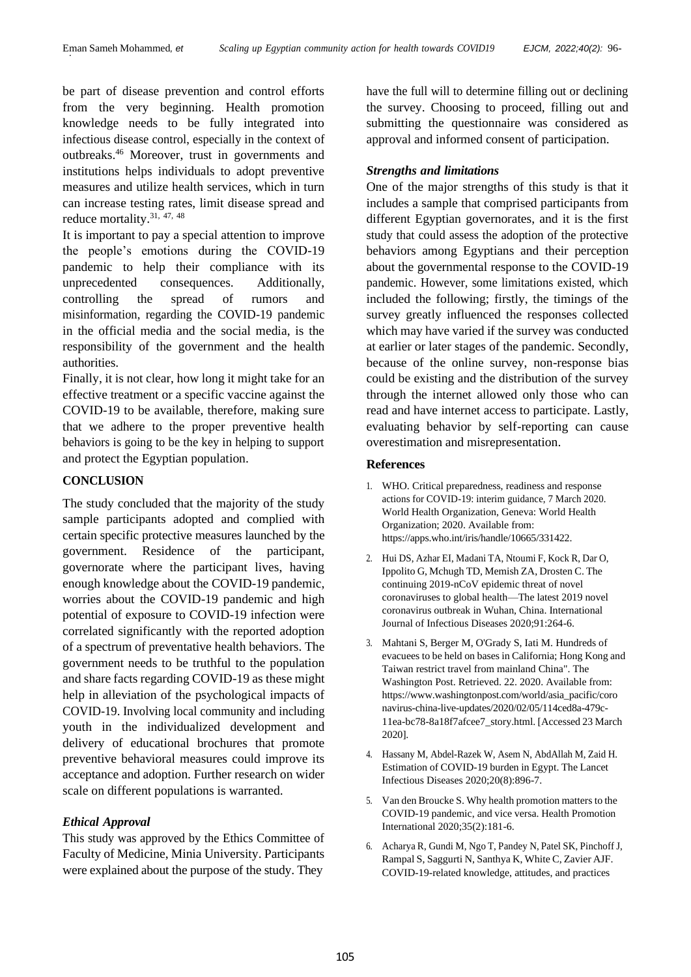be part of disease prevention and control efforts from the very beginning. Health promotion knowledge needs to be fully integrated into infectious disease control, especially in the context of outbreaks. <sup>46</sup> Moreover, trust in governments and institutions helps individuals to adopt preventive measures and utilize health services, which in turn can increase testing rates, limit disease spread and reduce mortality. 31, 47, 48

It is important to pay a special attention to improve the people's emotions during the COVID-19 pandemic to help their compliance with its unprecedented consequences. Additionally, controlling the spread of rumors and misinformation, regarding the COVID-19 pandemic in the official media and the social media, is the responsibility of the government and the health authorities.

Finally, it is not clear, how long it might take for an effective treatment or a specific vaccine against the COVID-19 to be available, therefore, making sure that we adhere to the proper preventive health behaviors is going to be the key in helping to support and protect the Egyptian population.

### **CONCLUSION**

The study concluded that the majority of the study sample participants adopted and complied with certain specific protective measures launched by the government. Residence of the participant, governorate where the participant lives, having enough knowledge about the COVID-19 pandemic, worries about the COVID-19 pandemic and high potential of exposure to COVID-19 infection were correlated significantly with the reported adoption of a spectrum of preventative health behaviors. The government needs to be truthful to the population and share facts regarding COVID-19 as these might help in alleviation of the psychological impacts of COVID-19. Involving local community and including youth in the individualized development and delivery of educational brochures that promote preventive behavioral measures could improve its acceptance and adoption. Further research on wider scale on different populations is warranted.

### *Ethical Approval*

This study was approved by the Ethics Committee of Faculty of Medicine, Minia University. Participants were explained about the purpose of the study. They

have the full will to determine filling out or declining the survey. Choosing to proceed, filling out and submitting the questionnaire was considered as approval and informed consent of participation.

#### *Strengths and limitations*

One of the major strengths of this study is that it includes a sample that comprised participants from different Egyptian governorates, and it is the first study that could assess the adoption of the protective behaviors among Egyptians and their perception about the governmental response to the COVID-19 pandemic. However, some limitations existed, which included the following; firstly, the timings of the survey greatly influenced the responses collected which may have varied if the survey was conducted at earlier or later stages of the pandemic. Secondly, because of the online survey, non-response bias could be existing and the distribution of the survey through the internet allowed only those who can read and have internet access to participate. Lastly, evaluating behavior by self-reporting can cause overestimation and misrepresentation.

#### **References**

- 1. WHO. Critical preparedness, readiness and response actions for COVID-19: interim guidance, 7 March 2020. World Health Organization, Geneva: World Health Organization; 2020. Available from: https://apps.who.int/iris/handle/10665/331422.
- 2. Hui DS, Azhar EI, Madani TA, Ntoumi F, Kock R, Dar O, Ippolito G, Mchugh TD, Memish ZA, Drosten C. The continuing 2019-nCoV epidemic threat of novel coronaviruses to global health—The latest 2019 novel coronavirus outbreak in Wuhan, China. International Journal of Infectious Diseases 2020;91:264-6.
- 3. Mahtani S, Berger M, O'Grady S, Iati M. Hundreds of evacuees to be held on bases in California; Hong Kong and Taiwan restrict travel from mainland China". The Washington Post. Retrieved. 22. 2020. Available from: https://www.washingtonpost.com/world/asia\_pacific/coro navirus-china-live-updates/2020/02/05/114ced8a-479c-11ea-bc78-8a18f7afcee7\_story.html. [Accessed 23 March 2020].
- 4. Hassany M, Abdel-Razek W, Asem N, AbdAllah M, Zaid H. Estimation of COVID-19 burden in Egypt. The Lancet Infectious Diseases 2020;20(8):896-7.
- 5. Van den Broucke S. Why health promotion matters to the COVID-19 pandemic, and vice versa. Health Promotion International 2020;35(2):181-6.
- 6. Acharya R, Gundi M, Ngo T, Pandey N, Patel SK, Pinchoff J, Rampal S, Saggurti N, Santhya K, White C, Zavier AJF. COVID-19-related knowledge, attitudes, and practices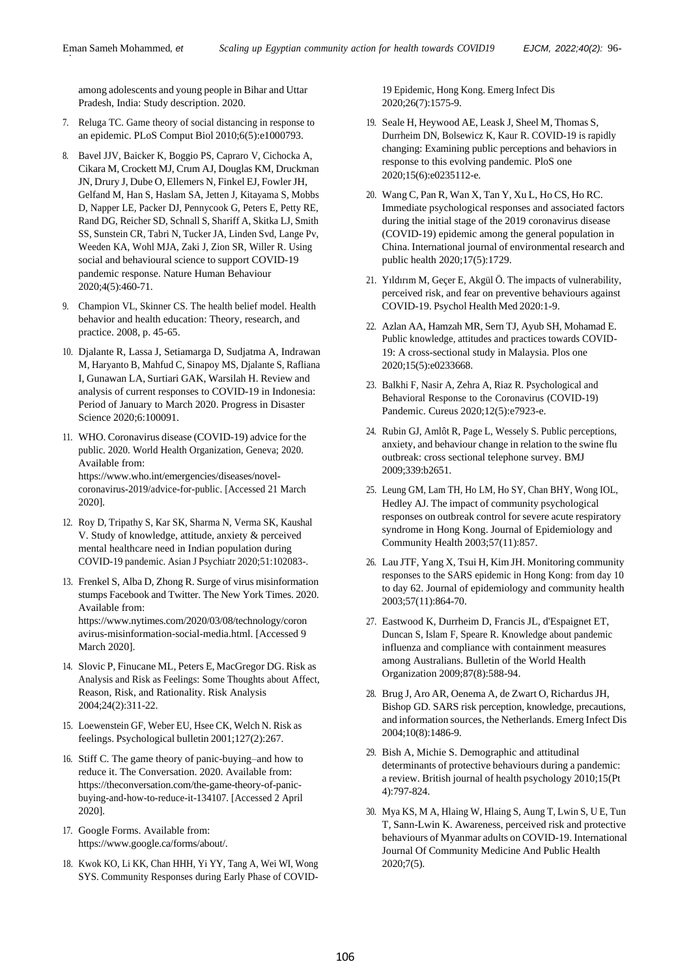Eman Sameh Mohammed*, et*

among adolescents and young people in Bihar and Uttar Pradesh, India: Study description. 2020.

- 7. Reluga TC. Game theory of social distancing in response to an epidemic. PLoS Comput Biol 2010;6(5):e1000793.
- 8. Bavel JJV, Baicker K, Boggio PS, Capraro V, Cichocka A, Cikara M, Crockett MJ, Crum AJ, Douglas KM, Druckman JN, Drury J, Dube O, Ellemers N, Finkel EJ, Fowler JH, Gelfand M, Han S, Haslam SA, Jetten J, Kitayama S, Mobbs D, Napper LE, Packer DJ, Pennycook G, Peters E, Petty RE, Rand DG, Reicher SD, Schnall S, Shariff A, Skitka LJ, Smith SS, Sunstein CR, Tabri N, Tucker JA, Linden Svd, Lange Pv, Weeden KA, Wohl MJA, Zaki J, Zion SR, Willer R. Using social and behavioural science to support COVID-19 pandemic response. Nature Human Behaviour 2020;4(5):460-71.
- 9. Champion VL, Skinner CS. The health belief model. Health behavior and health education: Theory, research, and practice. 2008, p. 45-65.
- 10. Djalante R, Lassa J, Setiamarga D, Sudjatma A, Indrawan M, Haryanto B, Mahfud C, Sinapoy MS, Djalante S, Rafliana I, Gunawan LA, Surtiari GAK, Warsilah H. Review and analysis of current responses to COVID-19 in Indonesia: Period of January to March 2020. Progress in Disaster Science 2020;6:100091.
- 11. WHO. Coronavirus disease (COVID-19) advice for the public. 2020. World Health Organization, Geneva; 2020. Available from: https://www.who.int/emergencies/diseases/novelcoronavirus-2019/advice-for-public. [Accessed 21 March 2020].
- 12. Roy D, Tripathy S, Kar SK, Sharma N, Verma SK, Kaushal V. Study of knowledge, attitude, anxiety & perceived mental healthcare need in Indian population during COVID-19 pandemic. Asian J Psychiatr 2020;51:102083-.
- 13. Frenkel S, Alba D, Zhong R. Surge of virus misinformation stumps Facebook and Twitter. The New York Times. 2020. Available from: https://www.nytimes.com/2020/03/08/technology/coron avirus-misinformation-social-media.html. [Accessed 9 March 2020].
- 14. Slovic P, Finucane ML, Peters E, MacGregor DG. Risk as Analysis and Risk as Feelings: Some Thoughts about Affect, Reason, Risk, and Rationality. Risk Analysis 2004;24(2):311-22.
- 15. Loewenstein GF, Weber EU, Hsee CK, Welch N. Risk as feelings. Psychological bulletin 2001;127(2):267.
- 16. Stiff C. The game theory of panic-buying–and how to reduce it. The Conversation. 2020. Available from: https://theconversation.com/the-game-theory-of-panicbuying-and-how-to-reduce-it-134107. [Accessed 2 April 2020].
- 17. Google Forms. Available from: https://www.google.ca/forms/about/.
- 18. Kwok KO, Li KK, Chan HHH, Yi YY, Tang A, Wei WI, Wong SYS. Community Responses during Early Phase of COVID-

19 Epidemic, Hong Kong. Emerg Infect Dis 2020;26(7):1575-9.

- 19. Seale H, Heywood AE, Leask J, Sheel M, Thomas S, Durrheim DN, Bolsewicz K, Kaur R. COVID-19 is rapidly changing: Examining public perceptions and behaviors in response to this evolving pandemic. PloS one 2020;15(6):e0235112-e.
- 20. Wang C, Pan R, Wan X, Tan Y, Xu L, Ho CS, Ho RC. Immediate psychological responses and associated factors during the initial stage of the 2019 coronavirus disease (COVID-19) epidemic among the general population in China. International journal of environmental research and public health 2020;17(5):1729.
- 21. Yıldırım M, Geçer E, Akgül Ö. The impacts of vulnerability, perceived risk, and fear on preventive behaviours against COVID-19. Psychol Health Med 2020:1-9.
- 22. Azlan AA, Hamzah MR, Sern TJ, Ayub SH, Mohamad E. Public knowledge, attitudes and practices towards COVID-19: A cross-sectional study in Malaysia. Plos one 2020;15(5):e0233668.
- 23. Balkhi F, Nasir A, Zehra A, Riaz R. Psychological and Behavioral Response to the Coronavirus (COVID-19) Pandemic. Cureus 2020;12(5):e7923-e.
- 24. Rubin GJ, Amlôt R, Page L, Wessely S. Public perceptions, anxiety, and behaviour change in relation to the swine flu outbreak: cross sectional telephone survey. BMJ 2009;339:b2651.
- 25. Leung GM, Lam TH, Ho LM, Ho SY, Chan BHY, Wong IOL, Hedley AJ. The impact of community psychological responses on outbreak control for severe acute respiratory syndrome in Hong Kong. Journal of Epidemiology and Community Health 2003;57(11):857.
- 26. Lau JTF, Yang X, Tsui H, Kim JH. Monitoring community responses to the SARS epidemic in Hong Kong: from day 10 to day 62. Journal of epidemiology and community health 2003;57(11):864-70.
- 27. Eastwood K, Durrheim D, Francis JL, d'Espaignet ET, Duncan S, Islam F, Speare R. Knowledge about pandemic influenza and compliance with containment measures among Australians. Bulletin of the World Health Organization 2009;87(8):588-94.
- 28. Brug J, Aro AR, Oenema A, de Zwart O, Richardus JH, Bishop GD. SARS risk perception, knowledge, precautions, and information sources, the Netherlands. Emerg Infect Dis 2004;10(8):1486-9.
- 29. Bish A, Michie S. Demographic and attitudinal determinants of protective behaviours during a pandemic: a review. British journal of health psychology 2010;15(Pt 4):797-824.
- 30. Mya KS, M A, Hlaing W, Hlaing S, Aung T, Lwin S, U E, Tun T, Sann-Lwin K. Awareness, perceived risk and protective behaviours of Myanmar adults onCOVID-19. International Journal Of Community Medicine And Public Health 2020;7(5).